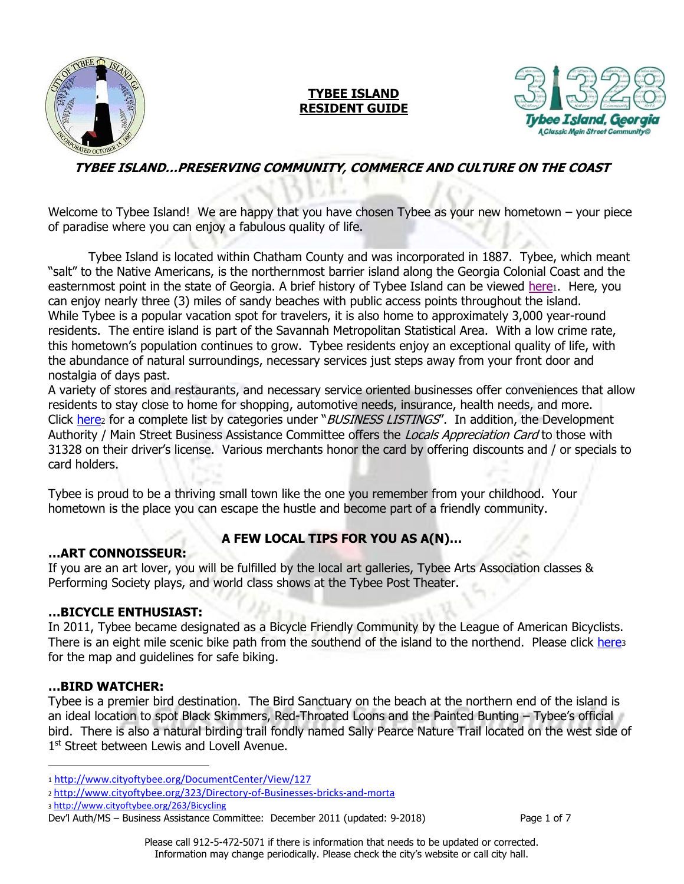

# **TYBEE ISLAND RESIDENT GUIDE**



# **TYBEE ISLAND…PRESERVING COMMUNITY, COMMERCE AND CULTURE ON THE COAST**

Welcome to Tybee Island! We are happy that you have chosen Tybee as your new hometown – your piece of paradise where you can enjoy a fabulous quality of life.

Tybee Island is located within Chatham County and was incorporated in 1887. Tybee, which meant "salt" to the Native Americans, is the northernmost barrier island along the Georgia Colonial Coast and the easternmost point in the state of Georgia. A brief history of Tybee Island can be viewed [here](http://www.cityoftybee.org/DocumentCenter/View/127)1. Here, you can enjoy nearly three (3) miles of sandy beaches with public access points throughout the island. While Tybee is a popular vacation spot for travelers, it is also home to approximately 3,000 year-round residents. The entire island is part of the Savannah Metropolitan Statistical Area. With a low crime rate, this hometown's population continues to grow. Tybee residents enjoy an exceptional quality of life, with the abundance of natural surroundings, necessary services just steps away from your front door and nostalgia of days past.

A variety of stores and restaurants, and necessary service oriented businesses offer conveniences that allow residents to stay close to home for shopping, automotive needs, insurance, health needs, and more. Click [here](http://www.cityoftybee.org/323/Directory-of-Businesses-bricks-and-morta)<sub>2</sub> for a complete list by categories under "*BUSINESS LISTINGS"*. In addition, the Development Authority / Main Street Business Assistance Committee offers the Locals Appreciation Card to those with 31328 on their driver's license. Various merchants honor the card by offering discounts and / or specials to card holders.

Tybee is proud to be a thriving small town like the one you remember from your childhood. Your hometown is the place you can escape the hustle and become part of a friendly community.

## **A FEW LOCAL TIPS FOR YOU AS A(N)…**

#### **…ART CONNOISSEUR:**

If you are an art lover, you will be fulfilled by the local art galleries, Tybee Arts Association classes & Performing Society plays, and world class shows at the Tybee Post Theater.

#### **…BICYCLE ENTHUSIAST:**

In 2011, Tybee became designated as a Bicycle Friendly Community by the League of American Bicyclists. There is an eight mile scenic bike path from the southend of the island to the northend. Please click [here](http://www.cityoftybee.org/263/Bicycling)s for the map and guidelines for safe biking.

#### **…BIRD WATCHER:**

 $\overline{\phantom{a}}$ 

Tybee is a premier bird destination. The Bird Sanctuary on the beach at the northern end of the island is an ideal location to spot Black Skimmers, Red-Throated Loons and the Painted Bunting – Tybee's official bird. There is also a natural birding trail fondly named Sally Pearce Nature Trail located on the west side of 1<sup>st</sup> Street between Lewis and Lovell Avenue.

<sup>1</sup> <http://www.cityoftybee.org/DocumentCenter/View/127>

<sup>2</sup> <http://www.cityoftybee.org/323/Directory-of-Businesses-bricks-and-morta>

<sup>3</sup> <http://www.cityoftybee.org/263/Bicycling>

Dev'l Auth/MS – Business Assistance Committee: December 2011 (updated: 9-2018) Page 1 of 7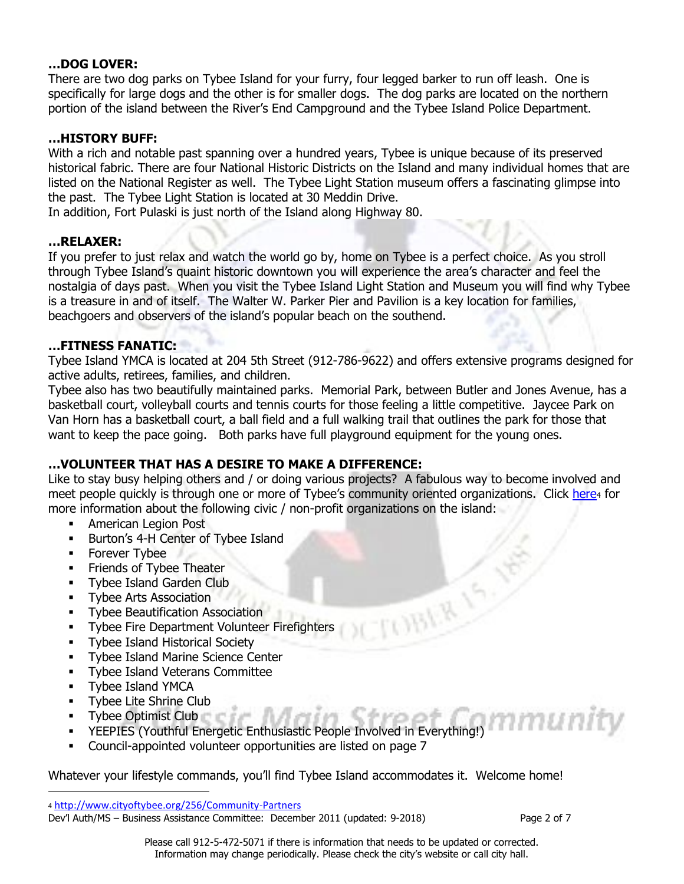#### **…DOG LOVER:**

There are two dog parks on Tybee Island for your furry, four legged barker to run off leash. One is specifically for large dogs and the other is for smaller dogs. The dog parks are located on the northern portion of the island between the River's End Campground and the Tybee Island Police Department.

#### **…HISTORY BUFF:**

With a rich and notable past spanning over a hundred years, Tybee is unique because of its preserved historical fabric. There are four National Historic Districts on the Island and many individual homes that are listed on the National Register as well. The Tybee Light Station museum offers a fascinating glimpse into the past. The Tybee Light Station is located at 30 Meddin Drive.

In addition, Fort Pulaski is just north of the Island along Highway 80.

#### **…RELAXER:**

If you prefer to just relax and watch the world go by, home on Tybee is a perfect choice. As you stroll through Tybee Island's quaint historic downtown you will experience the area's character and feel the nostalgia of days past. When you visit the Tybee Island Light Station and Museum you will find why Tybee is a treasure in and of itself. The Walter W. Parker Pier and Pavilion is a key location for families, beachgoers and observers of the island's popular beach on the southend.

#### **…FITNESS FANATIC:**

Tybee Island YMCA is located at 204 5th Street (912-786-9622) and offers extensive programs designed for active adults, retirees, families, and children.

Tybee also has two beautifully maintained parks. Memorial Park, between Butler and Jones Avenue, has a basketball court, volleyball courts and tennis courts for those feeling a little competitive. Jaycee Park on Van Horn has a basketball court, a ball field and a full walking trail that outlines the park for those that want to keep the pace going. Both parks have full playground equipment for the young ones.

#### **…VOLUNTEER THAT HAS A DESIRE TO MAKE A DIFFERENCE:**

Like to stay busy helping others and / or doing various projects? A fabulous way to become involved and meet people quickly is through one or more of Tybee's community oriented organizations. Click [here](http://www.cityoftybee.org/256/Community-Partners)4 for more information about the following civic / non-profit organizations on the island:

TOBLE 15

- **American Legion Post**
- **Burton's 4-H Center of Tybee Island**
- **Forever Tybee**
- **Firiends of Tybee Theater**
- **Tybee Island Garden Club**
- **Tybee Arts Association**
- **Tybee Beautification Association**
- **Tybee Fire Department Volunteer Firefighters**
- **Tybee Island Historical Society**
- **Tybee Island Marine Science Center**
- **Tybee Island Veterans Committee**
- **Tybee Island YMCA**

 $\overline{\phantom{a}}$ 

- **Tybee Lite Shrine Club**
- **Tybee Optimist Club**
- nmunitv YEEPIES (Youthful Energetic Enthusiastic People Involved in Everything!)
- Council-appointed volunteer opportunities are listed on page 7

Whatever your lifestyle commands, you'll find Tybee Island accommodates it. Welcome home!

Dev'l Auth/MS – Business Assistance Committee: December 2011 (updated: 9-2018) Page 2 of 7

<sup>4</sup> <http://www.cityoftybee.org/256/Community-Partners>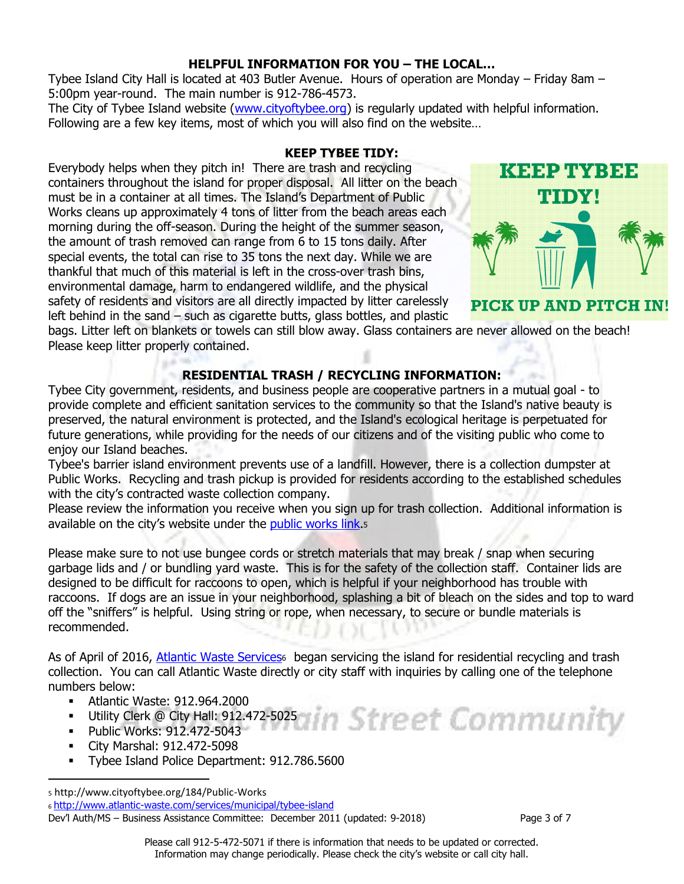# **HELPFUL INFORMATION FOR YOU – THE LOCAL…**

Tybee Island City Hall is located at 403 Butler Avenue. Hours of operation are Monday – Friday 8am – 5:00pm year-round. The main number is 912-786-4573.

The City of Tybee Island website [\(www.cityoftybee.org\)](http://www.cityoftybee.org/) is regularly updated with helpful information. Following are a few key items, most of which you will also find on the website…

#### **KEEP TYBEE TIDY:**

Everybody helps when they pitch in! There are trash and recycling containers throughout the island for proper disposal. All litter on the beach must be in a container at all times. The Island's Department of Public Works cleans up approximately 4 tons of litter from the beach areas each morning during the off-season. During the height of the summer season, the amount of trash removed can range from 6 to 15 tons daily. After special events, the total can rise to 35 tons the next day. While we are thankful that much of this material is left in the cross-over trash bins, environmental damage, harm to endangered wildlife, and the physical safety of residents and visitors are all directly impacted by litter carelessly left behind in the sand – such as cigarette butts, glass bottles, and plastic



bags. Litter left on blankets or towels can still blow away. Glass containers are never allowed on the beach! Please keep litter properly contained.

# **RESIDENTIAL TRASH / RECYCLING INFORMATION:**

Tybee City government, residents, and business people are cooperative partners in a mutual goal - to provide complete and efficient sanitation services to the community so that the Island's native beauty is preserved, the natural environment is protected, and the Island's ecological heritage is perpetuated for future generations, while providing for the needs of our citizens and of the visiting public who come to enjoy our Island beaches.

Tybee's barrier island environment prevents use of a landfill. However, there is a collection dumpster at Public Works. Recycling and trash pickup is provided for residents according to the established schedules with the city's contracted waste collection company.

Please review the information you receive when you sign up for trash collection. Additional information is available on the city's website under the [public works link.](http://www.cityoftybee.org/184/Public-Works)5

Please make sure to not use bungee cords or stretch materials that may break / snap when securing garbage lids and / or bundling yard waste. This is for the safety of the collection staff. Container lids are designed to be difficult for raccoons to open, which is helpful if your neighborhood has trouble with raccoons. If dogs are an issue in your neighborhood, splashing a bit of bleach on the sides and top to ward off the "sniffers" is helpful. Using string or rope, when necessary, to secure or bundle materials is recommended.

As of April of 2016, Atlantic [Waste Services]((http:/www.atlantic-waste.com/services/municipal/tybee-island))<sup>6</sup> began servicing the island for residential recycling and trash collection. You can call Atlantic Waste directly or city staff with inquiries by calling one of the telephone numbers below:

- Atlantic Waste: 912.964.2000
- Utility Clerk @ City Hall: 912.472-5025
- Public Works: 912.472-5043
- City Marshal: 912.472-5098

 $\overline{a}$ 

**Tybee Island Police Department: 912.786.5600** 

<sup>5</sup> http://www.cityoftybee.org/184/Public-Works

<sup>6</sup> <http://www.atlantic-waste.com/services/municipal/tybee-island>

Dev'l Auth/MS – Business Assistance Committee: December 2011 (updated: 9-2018) Page 3 of 7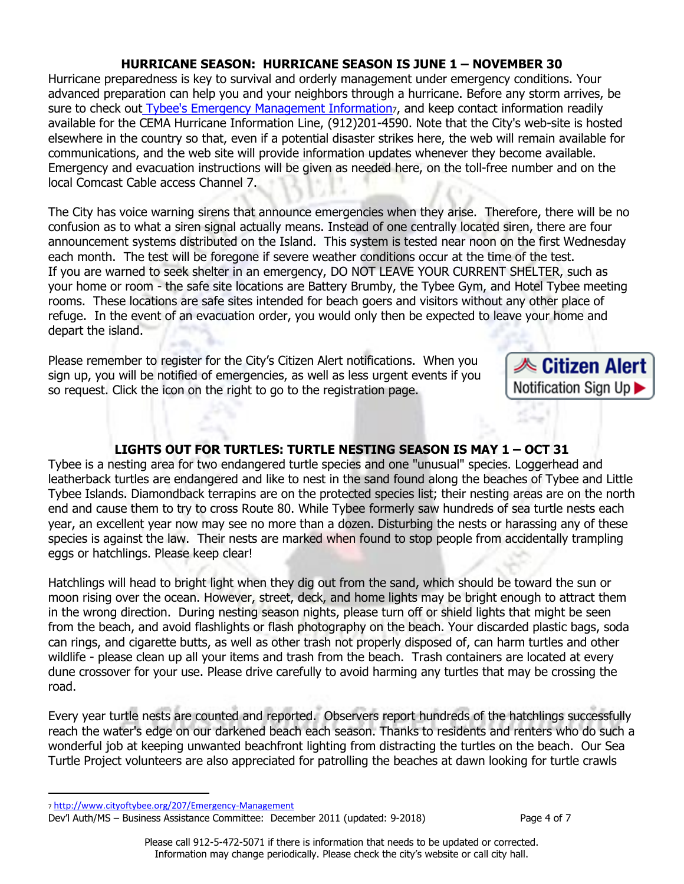# **HURRICANE SEASON: HURRICANE SEASON IS JUNE 1 – NOVEMBER 30**

Hurricane preparedness is key to survival and orderly management under emergency conditions. Your advanced preparation can help you and your neighbors through a hurricane. Before any storm arrives, be sure to check out [Tybee's Emergency Management Information](http://www.cityoftybee.org/207/Emergency-Management), and keep contact information readily available for the CEMA Hurricane Information Line, (912)201-4590. Note that the City's web-site is hosted elsewhere in the country so that, even if a potential disaster strikes here, the web will remain available for communications, and the web site will provide information updates whenever they become available. Emergency and evacuation instructions will be given as needed here, on the toll-free number and on the local Comcast Cable access Channel 7.

The City has voice warning sirens that announce emergencies when they arise. Therefore, there will be no confusion as to what a siren signal actually means. Instead of one centrally located siren, there are four announcement systems distributed on the Island. This system is tested near noon on the first Wednesday each month. The test will be foregone if severe weather conditions occur at the time of the test. If you are warned to seek shelter in an emergency, DO NOT LEAVE YOUR CURRENT SHELTER, such as your home or room - the safe site locations are Battery Brumby, the Tybee Gym, and Hotel Tybee meeting rooms. These locations are safe sites intended for beach goers and visitors without any other place of refuge. In the event of an evacuation order, you would only then be expected to leave your home and depart the island.

Please remember to register for the City's Citizen Alert notifications. When you sign up, you will be notified of emergencies, as well as less urgent events if you so request. Click the icon on the right to go to the registration page.



# **LIGHTS OUT FOR TURTLES: TURTLE NESTING SEASON IS MAY 1 – OCT 31**

Tybee is a nesting area for two endangered turtle species and one "unusual" species. Loggerhead and leatherback turtles are endangered and like to nest in the sand found along the beaches of Tybee and Little Tybee Islands. Diamondback terrapins are on the protected species list; their nesting areas are on the north end and cause them to try to cross Route 80. While Tybee formerly saw hundreds of sea turtle nests each year, an excellent year now may see no more than a dozen. Disturbing the nests or harassing any of these species is against the law. Their nests are marked when found to stop people from accidentally trampling eggs or hatchlings. Please keep clear!

Hatchlings will head to bright light when they dig out from the sand, which should be toward the sun or moon rising over the ocean. However, street, deck, and home lights may be bright enough to attract them in the wrong direction. During nesting season nights, please turn off or shield lights that might be seen from the beach, and avoid flashlights or flash photography on the beach. Your discarded plastic bags, soda can rings, and cigarette butts, as well as other trash not properly disposed of, can harm turtles and other wildlife - please clean up all your items and trash from the beach. Trash containers are located at every dune crossover for your use. Please drive carefully to avoid harming any turtles that may be crossing the road.

Every year turtle nests are counted and reported. Observers report hundreds of the hatchlings successfully reach the water's edge on our darkened beach each season. Thanks to residents and renters who do such a wonderful job at keeping unwanted beachfront lighting from distracting the turtles on the beach. Our Sea Turtle Project volunteers are also appreciated for patrolling the beaches at dawn looking for turtle crawls

 $\overline{\phantom{a}}$ 

<sup>7</sup> <http://www.cityoftybee.org/207/Emergency-Management>

Dev'l Auth/MS – Business Assistance Committee: December 2011 (updated: 9-2018) Page 4 of 7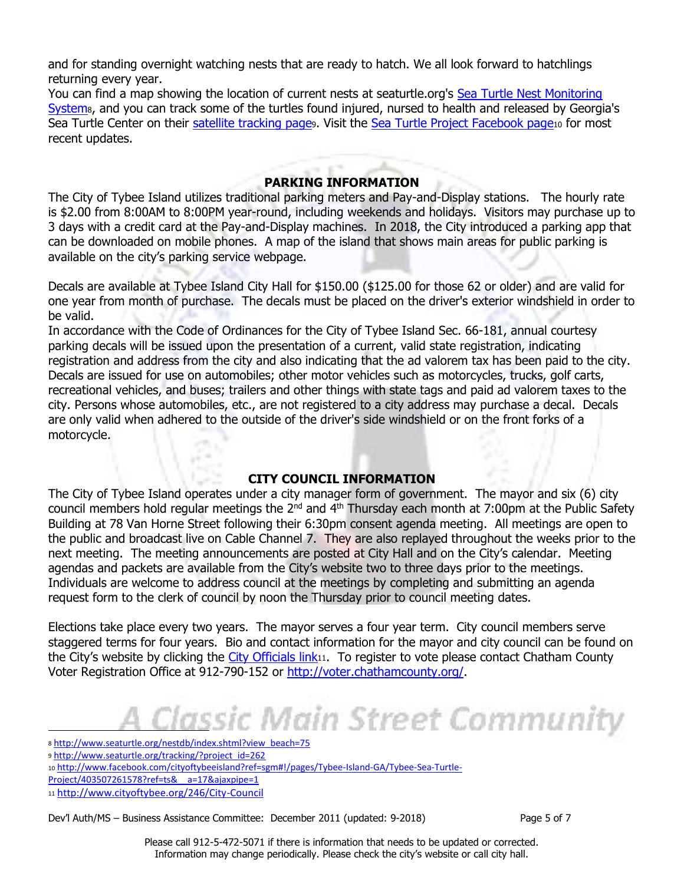and for standing overnight watching nests that are ready to hatch. We all look forward to hatchlings returning every year.

You can find a map showing the location of current nests at seaturtle.org's [Sea Turtle Nest Monitoring](http://www.seaturtle.org/nestdb/index.shtml?view_beach=75)  [System](http://www.seaturtle.org/nestdb/index.shtml?view_beach=75)<sub>8</sub>, and you can track some of the turtles found injured, nursed to health and released by Georgia's Sea Turtle Center on their [satellite tracking page](http://www.seaturtle.org/tracking/?project_id=262)9. Visit the [Sea Turtle Project Facebook page](http://www.facebook.com/cityoftybeeisland?ref=sgm#!/pages/Tybee-Island-GA/Tybee-Sea-Turtle-Project/403507261578?ref=ts&__a=17&ajaxpipe=1)10 for most recent updates.

CT ET !

#### **PARKING INFORMATION**

The City of Tybee Island utilizes traditional parking meters and Pay-and-Display stations. The hourly rate is \$2.00 from 8:00AM to 8:00PM year-round, including weekends and holidays. Visitors may purchase up to 3 days with a credit card at the Pay-and-Display machines. In 2018, the City introduced a parking app that can be downloaded on mobile phones. A map of the island that shows main areas for public parking is available on the city's parking service webpage.

Decals are available at Tybee Island City Hall for \$150.00 (\$125.00 for those 62 or older) and are valid for one year from month of purchase. The decals must be placed on the driver's exterior windshield in order to be valid.

In accordance with the Code of Ordinances for the City of Tybee Island Sec. 66-181, annual courtesy parking decals will be issued upon the presentation of a current, valid state registration, indicating registration and address from the city and also indicating that the ad valorem tax has been paid to the city. Decals are issued for use on automobiles; other motor vehicles such as motorcycles, trucks, golf carts, recreational vehicles, and buses; trailers and other things with state tags and paid ad valorem taxes to the city. Persons whose automobiles, etc., are not registered to a city address may purchase a decal. Decals are only valid when adhered to the outside of the driver's side windshield or on the front forks of a motorcycle.

#### **CITY COUNCIL INFORMATION**

The City of Tybee Island operates under a city manager form of government. The mayor and six (6) city council members hold regular meetings the  $2^{nd}$  and  $4^{th}$  Thursday each month at 7:00pm at the Public Safety Building at 78 Van Horne Street following their 6:30pm consent agenda meeting. All meetings are open to the public and broadcast live on Cable Channel 7. They are also replayed throughout the weeks prior to the next meeting. The meeting announcements are posted at City Hall and on the City's calendar. Meeting agendas and packets are available from the City's website two to three days prior to the meetings. Individuals are welcome to address council at the meetings by completing and submitting an agenda request form to the clerk of council by noon the Thursday prior to council meeting dates.

Elections take place every two years. The mayor serves a four year term. City council members serve staggered terms for four years. Bio and contact information for the mayor and city council can be found on the City's website by clicking the [City Officials link](http://www.cityoftybee.org/246/City-Council)11. To register to vote please contact Chatham County Voter Registration Office at 912-790-152 or [http://voter.chathamcounty.org/.](http://voter.chathamcounty.org/)

# A Classic Main Street Community

 $\overline{\phantom{a}}$ 

Dev'l Auth/MS – Business Assistance Committee: December 2011 (updated: 9-2018) Page 5 of 7

<sup>8</sup> [http://www.seaturtle.org/nestdb/index.shtml?view\\_beach=75](http://www.seaturtle.org/nestdb/index.shtml?view_beach=75)

<sup>9</sup> [http://www.seaturtle.org/tracking/?project\\_id=262](http://www.seaturtle.org/tracking/?project_id=262)

<sup>10</sup> [http://www.facebook.com/cityoftybeeisland?ref=sgm#!/pages/Tybee-Island-GA/Tybee-Sea-Turtle-](http://www.facebook.com/cityoftybeeisland?ref=sgm#!/pages/Tybee-Island-GA/Tybee-Sea-Turtle-Project/403507261578?ref=ts&__a=17&ajaxpipe=1)

Project/403507261578?ref=ts&\_a=17&ajaxpipe=1

<sup>11</sup> <http://www.cityoftybee.org/246/City-Council>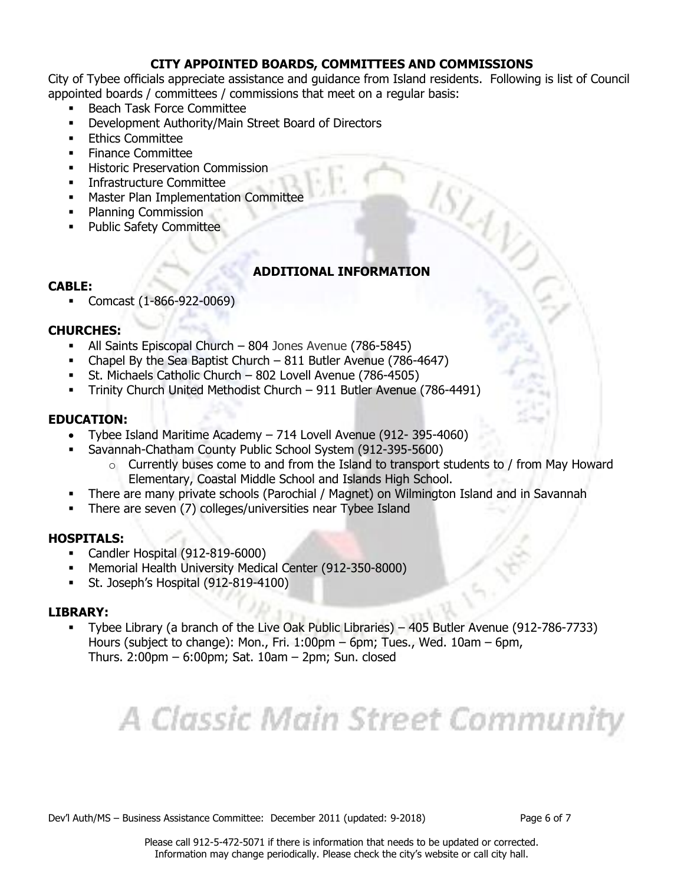## **CITY APPOINTED BOARDS, COMMITTEES AND COMMISSIONS**

City of Tybee officials appreciate assistance and guidance from Island residents. Following is list of Council appointed boards / committees / commissions that meet on a regular basis:

- Beach Task Force Committee
- Development Authority/Main Street Board of Directors
- **Ethics Committee**
- Finance Committee
- **Historic Preservation Commission**
- **Infrastructure Committee**
- **Master Plan Implementation Committee**
- Planning Commission
- **•** Public Safety Committee

# **ADDITIONAL INFORMATION**

#### **CABLE:**

Comcast (1-866-922-0069)

#### **CHURCHES:**

- All Saints Episcopal Church 804 Jones Avenue (786-5845)
- Chapel By the Sea Baptist Church 811 Butler Avenue (786-4647)
- St. Michaels Catholic Church 802 Lovell Avenue (786-4505)
- Trinity Church United Methodist Church 911 Butler Avenue (786-4491)

#### **EDUCATION:**

- Tybee Island Maritime Academy 714 Lovell Avenue (912- 395-4060)
- Savannah-Chatham County Public School System (912-395-5600)
	- $\circ$  Currently buses come to and from the Island to transport students to / from May Howard Elementary, Coastal Middle School and Islands High School.
- There are many private schools (Parochial / Magnet) on Wilmington Island and in Savannah
- There are seven (7) colleges/universities near Tybee Island

#### **HOSPITALS:**

- Candler Hospital (912-819-6000)
- Memorial Health University Medical Center (912-350-8000)
- St. Joseph's Hospital (912-819-4100)

#### **LIBRARY:**

 Tybee Library (a branch of the Live Oak Public Libraries) – 405 Butler Avenue (912-786-7733) Hours (subject to change): Mon., Fri. 1:00pm – 6pm; Tues., Wed. 10am – 6pm, Thurs. 2:00pm – 6:00pm; Sat. 10am – 2pm; Sun. closed

# A Classic Main Street Community

Dev'l Auth/MS – Business Assistance Committee: December 2011 (updated: 9-2018) Page 6 of 7